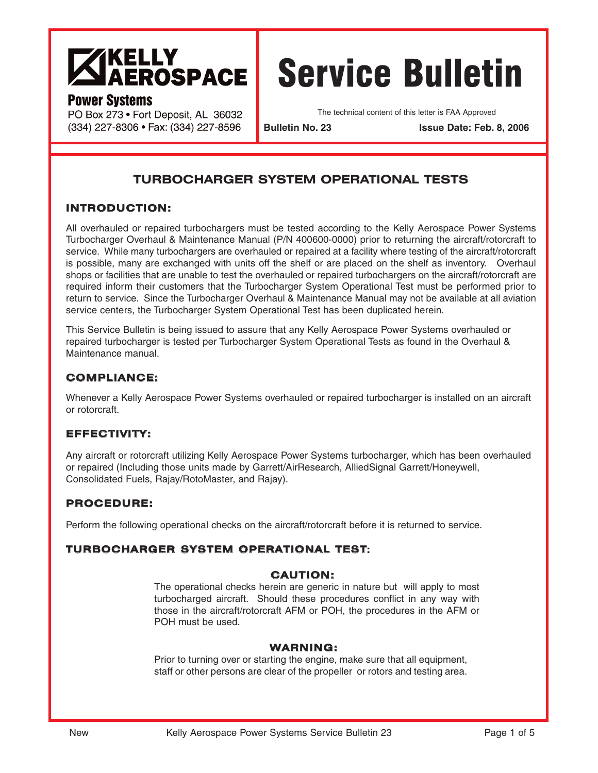

# **Power Systems**

PO Box 273 · Fort Deposit, AL 36032 (334) 227-8306 · Fax: (334) 227-8596

# Service Bulletin

The technical content of this letter is FAA Approved

**Bulletin No. 23 Issue Date: Feb. 8, 2006**

# **TURBOCHARGER SYSTEM OPERATIONAL TESTS**

# **INTRODUCTION:**

All overhauled or repaired turbochargers must be tested according to the Kelly Aerospace Power Systems Turbocharger Overhaul & Maintenance Manual (P/N 400600-0000) prior to returning the aircraft/rotorcraft to service. While many turbochargers are overhauled or repaired at a facility where testing of the aircraft/rotorcraft is possible, many are exchanged with units off the shelf or are placed on the shelf as inventory. Overhaul shops or facilities that are unable to test the overhauled or repaired turbochargers on the aircraft/rotorcraft are required inform their customers that the Turbocharger System Operational Test must be performed prior to return to service. Since the Turbocharger Overhaul & Maintenance Manual may not be available at all aviation service centers, the Turbocharger System Operational Test has been duplicated herein.

This Service Bulletin is being issued to assure that any Kelly Aerospace Power Systems overhauled or repaired turbocharger is tested per Turbocharger System Operational Tests as found in the Overhaul & Maintenance manual.

# **COMPLIANCE:**

Whenever a Kelly Aerospace Power Systems overhauled or repaired turbocharger is installed on an aircraft or rotorcraft.

## **EFFECTIVITY:**

Any aircraft or rotorcraft utilizing Kelly Aerospace Power Systems turbocharger, which has been overhauled or repaired (Including those units made by Garrett/AirResearch, AlliedSignal Garrett/Honeywell, Consolidated Fuels, Rajay/RotoMaster, and Rajay).

# **PROCEDURE:**

Perform the following operational checks on the aircraft/rotorcraft before it is returned to service.

## **TURBOCHARGER SYSTEM OPERATIONAL TEST:**

## **CAUTION:**

The operational checks herein are generic in nature but will apply to most turbocharged aircraft. Should these procedures conflict in any way with those in the aircraft/rotorcraft AFM or POH, the procedures in the AFM or POH must be used.

## **WARNING:**

Prior to turning over or starting the engine, make sure that all equipment, staff or other persons are clear of the propeller or rotors and testing area.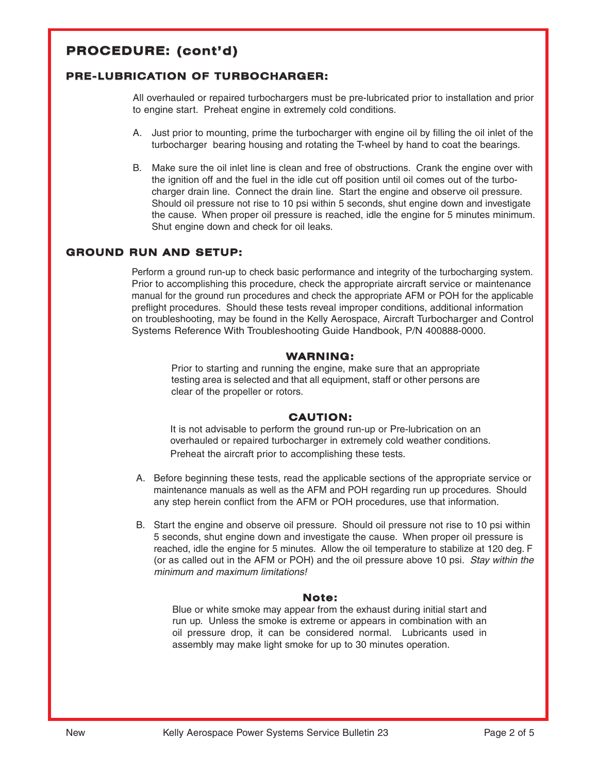# **PROCEDURE: (cont'd)**

## **PRE-LUBRICATION OF TURBOCHARGER:**

All overhauled or repaired turbochargers must be pre-lubricated prior to installation and prior to engine start. Preheat engine in extremely cold conditions.

- A. Just prior to mounting, prime the turbocharger with engine oil by filling the oil inlet of the turbocharger bearing housing and rotating the T-wheel by hand to coat the bearings.
- B. Make sure the oil inlet line is clean and free of obstructions. Crank the engine over with the ignition off and the fuel in the idle cut off position until oil comes out of the turbocharger drain line. Connect the drain line. Start the engine and observe oil pressure. Should oil pressure not rise to 10 psi within 5 seconds, shut engine down and investigate the cause. When proper oil pressure is reached, idle the engine for 5 minutes minimum. Shut engine down and check for oil leaks.

## **GROUND RUN AND SETUP:**

Perform a ground run-up to check basic performance and integrity of the turbocharging system. Prior to accomplishing this procedure, check the appropriate aircraft service or maintenance manual for the ground run procedures and check the appropriate AFM or POH for the applicable preflight procedures. Should these tests reveal improper conditions, additional information on troubleshooting, may be found in the Kelly Aerospace, Aircraft Turbocharger and Control Systems Reference With Troubleshooting Guide Handbook, P/N 400888-0000.

#### **WARNING:**

Prior to starting and running the engine, make sure that an appropriate testing area is selected and that all equipment, staff or other persons are clear of the propeller or rotors.

## **CAUTION:**

It is not advisable to perform the ground run-up or Pre-lubrication on an overhauled or repaired turbocharger in extremely cold weather conditions. Preheat the aircraft prior to accomplishing these tests.

- A. Before beginning these tests, read the applicable sections of the appropriate service or maintenance manuals as well as the AFM and POH regarding run up procedures. Should any step herein conflict from the AFM or POH procedures, use that information.
- B. Start the engine and observe oil pressure. Should oil pressure not rise to 10 psi within 5 seconds, shut engine down and investigate the cause. When proper oil pressure is reached, idle the engine for 5 minutes. Allow the oil temperature to stabilize at 120 deg. F (or as called out in the AFM or POH) and the oil pressure above 10 psi. Stay within the minimum and maximum limitations!

#### **Note:**

Blue or white smoke may appear from the exhaust during initial start and run up. Unless the smoke is extreme or appears in combination with an oil pressure drop, it can be considered normal. Lubricants used in assembly may make light smoke for up to 30 minutes operation.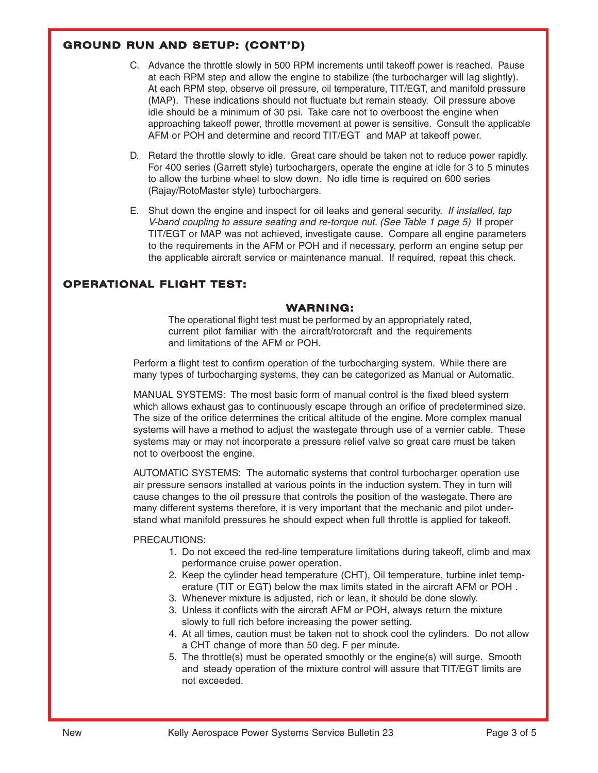# **GROUND RUN AND SETUP: (CONT'D)**

- C. Advance the throttle slowly in 500 RPM increments until takeoff power is reached. Pause at each RPM step and allow the engine to stabilize (the turbocharger will lag slightly). At each RPM step, observe oil pressure, oil temperature, TIT/EGT, and manifold pressure (MAP). These indications should not fluctuate but remain steady. Oil pressure above idle should be a minimum of 30 psi. Take care not to overboost the engine when approaching takeoff power, throttle movement at power is sensitive. Consult the applicable AFM or POH and determine and record TIT/EGT and MAP at takeoff power.
- D. Retard the throttle slowly to idle. Great care should be taken not to reduce power rapidly. For 400 series (Garrett style) turbochargers, operate the engine at idle for 3 to 5 minutes to allow the turbine wheel to slow down. No idle time is required on 600 series (Rajay/RotoMaster style) turbochargers.
- E. Shut down the engine and inspect for oil leaks and general security. If installed, tap V-band coupling to assure seating and re-torque nut. (See Table 1 page 5) If proper TIT/EGT or MAP was not achieved, investigate cause. Compare all engine parameters to the requirements in the AFM or POH and if necessary, perform an engine setup per the applicable aircraft service or maintenance manual. If required, repeat this check.

## **OPERATIONAL FLIGHT TEST:**

## **WARNING:**

The operational flight test must be performed by an appropriately rated, current pilot familiar with the aircraft/rotorcraft and the requirements and limitations of the AFM or POH.

Perform a flight test to confirm operation of the turbocharging system. While there are many types of turbocharging systems, they can be categorized as Manual or Automatic.

MANUAL SYSTEMS: The most basic form of manual control is the fixed bleed system which allows exhaust gas to continuously escape through an orifice of predetermined size. The size of the orifice determines the critical altitude of the engine. More complex manual systems will have a method to adjust the wastegate through use of a vernier cable. These systems may or may not incorporate a pressure relief valve so great care must be taken not to overboost the engine.

AUTOMATIC SYSTEMS: The automatic systems that control turbocharger operation use air pressure sensors installed at various points in the induction system. They in turn will cause changes to the oil pressure that controls the position of the wastegate. There are many different systems therefore, it is very important that the mechanic and pilot understand what manifold pressures he should expect when full throttle is applied for takeoff.

PRECAUTIONS:

- 1. Do not exceed the red-line temperature limitations during takeoff, climb and max performance cruise power operation.
- 2. Keep the cylinder head temperature (CHT), Oil temperature, turbine inlet temperature (TIT or EGT) below the max limits stated in the aircraft AFM or POH .
- 3. Whenever mixture is adjusted, rich or lean, it should be done slowly.
- 3. Unless it conflicts with the aircraft AFM or POH, always return the mixture slowly to full rich before increasing the power setting.
- 4. At all times, caution must be taken not to shock cool the cylinders. Do not allow a CHT change of more than 50 deg. F per minute.
- 5. The throttle(s) must be operated smoothly or the engine(s) will surge. Smooth and steady operation of the mixture control will assure that TIT/EGT limits are not exceeded.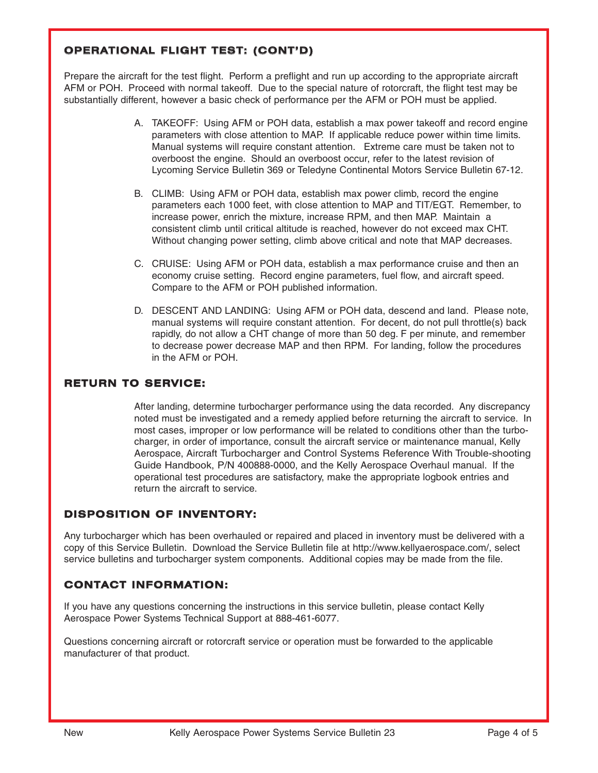# **OPERATIONAL FLIGHT TEST: (CONT'D)**

Prepare the aircraft for the test flight. Perform a preflight and run up according to the appropriate aircraft AFM or POH. Proceed with normal takeoff. Due to the special nature of rotorcraft, the flight test may be substantially different, however a basic check of performance per the AFM or POH must be applied.

- A. TAKEOFF: Using AFM or POH data, establish a max power takeoff and record engine parameters with close attention to MAP. If applicable reduce power within time limits. Manual systems will require constant attention. Extreme care must be taken not to overboost the engine. Should an overboost occur, refer to the latest revision of Lycoming Service Bulletin 369 or Teledyne Continental Motors Service Bulletin 67-12.
- B. CLIMB: Using AFM or POH data, establish max power climb, record the engine parameters each 1000 feet, with close attention to MAP and TIT/EGT. Remember, to increase power, enrich the mixture, increase RPM, and then MAP. Maintain a consistent climb until critical altitude is reached, however do not exceed max CHT. Without changing power setting, climb above critical and note that MAP decreases.
- C. CRUISE: Using AFM or POH data, establish a max performance cruise and then an economy cruise setting. Record engine parameters, fuel flow, and aircraft speed. Compare to the AFM or POH published information.
- D. DESCENT AND LANDING: Using AFM or POH data, descend and land. Please note, manual systems will require constant attention. For decent, do not pull throttle(s) back rapidly, do not allow a CHT change of more than 50 deg. F per minute, and remember to decrease power decrease MAP and then RPM. For landing, follow the procedures in the AFM or POH.

## **RETURN TO SERVICE:**

After landing, determine turbocharger performance using the data recorded. Any discrepancy noted must be investigated and a remedy applied before returning the aircraft to service. In most cases, improper or low performance will be related to conditions other than the turbocharger, in order of importance, consult the aircraft service or maintenance manual, Kelly Aerospace, Aircraft Turbocharger and Control Systems Reference With Trouble-shooting Guide Handbook, P/N 400888-0000, and the Kelly Aerospace Overhaul manual. If the operational test procedures are satisfactory, make the appropriate logbook entries and return the aircraft to service.

# **DISPOSITION OF INVENTORY:**

Any turbocharger which has been overhauled or repaired and placed in inventory must be delivered with a copy of this Service Bulletin. Download the Service Bulletin file at http://www.kellyaerospace.com/, select service bulletins and turbocharger system components. Additional copies may be made from the file.

# **CONTACT INFORMATION:**

If you have any questions concerning the instructions in this service bulletin, please contact Kelly Aerospace Power Systems Technical Support at 888-461-6077.

Questions concerning aircraft or rotorcraft service or operation must be forwarded to the applicable manufacturer of that product.